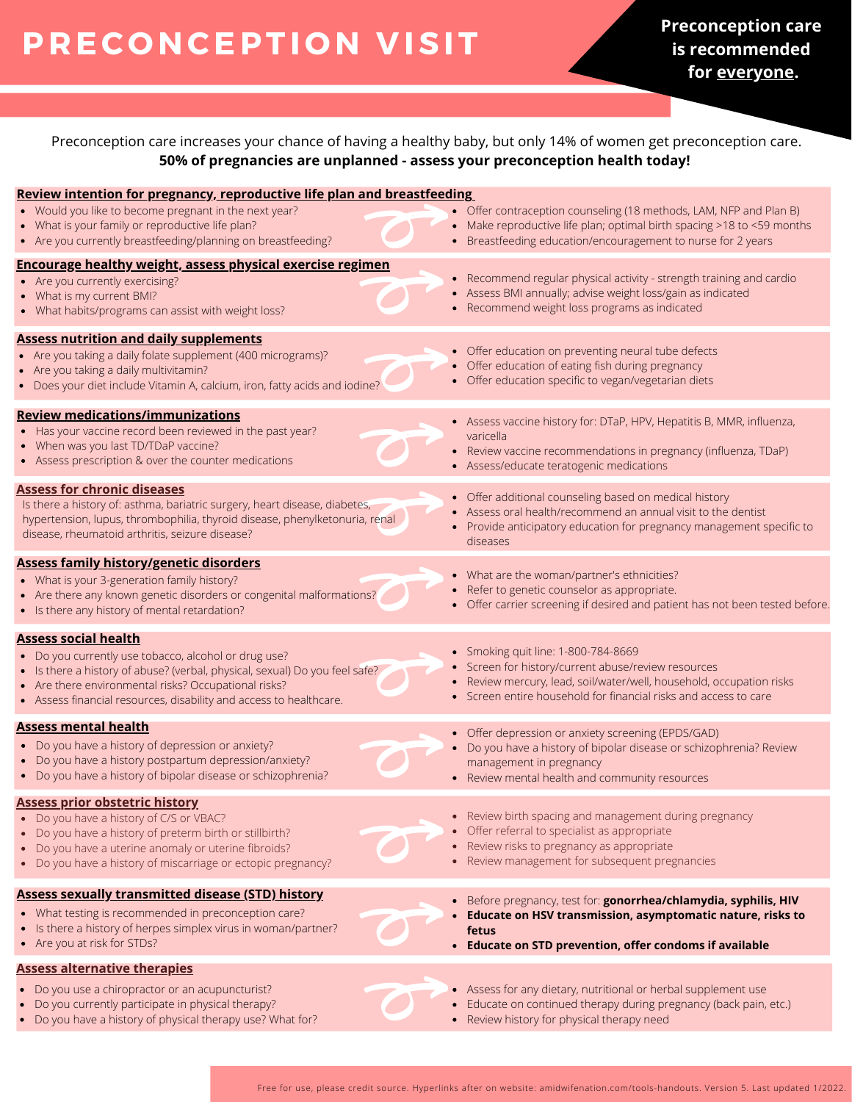# **P R EC O NCEPTI O N V ISIT**

**Preconception care is recommended for everyone.**

Preconception care increases your chance of having a healthy baby, but only 14% of women get preconception care. **50% of pregnancies are unplanned - assess your preconception health today!**

| Review intention for pregnancy, reproductive life plan and breastfeeding                                                                                                                                                                                          |                                                                                                                                                                                                              |
|-------------------------------------------------------------------------------------------------------------------------------------------------------------------------------------------------------------------------------------------------------------------|--------------------------------------------------------------------------------------------------------------------------------------------------------------------------------------------------------------|
| • Would you like to become pregnant in the next year?<br>• What is your family or reproductive life plan?<br>• Are you currently breastfeeding/planning on breastfeeding?                                                                                         | • Offer contraception counseling (18 methods, LAM, NFP and Plan B)<br>• Make reproductive life plan; optimal birth spacing >18 to <59 months<br>• Breastfeeding education/encouragement to nurse for 2 years |
| <b>Encourage healthy weight, assess physical exercise regimen</b><br>• Are you currently exercising?                                                                                                                                                              | • Recommend regular physical activity - strength training and cardio                                                                                                                                         |
| • What is my current BMI?<br>• What habits/programs can assist with weight loss?                                                                                                                                                                                  | • Assess BMI annually; advise weight loss/gain as indicated<br>• Recommend weight loss programs as indicated                                                                                                 |
| <b>Assess nutrition and daily supplements</b>                                                                                                                                                                                                                     | • Offer education on preventing neural tube defects                                                                                                                                                          |
| • Are you taking a daily folate supplement (400 micrograms)?<br>• Are you taking a daily multivitamin?<br>• Does your diet include Vitamin A, calcium, iron, fatty acids and iodine?                                                                              | • Offer education of eating fish during pregnancy<br>• Offer education specific to vegan/vegetarian diets                                                                                                    |
| <b>Review medications/immunizations</b>                                                                                                                                                                                                                           | • Assess vaccine history for: DTaP, HPV, Hepatitis B, MMR, influenza,                                                                                                                                        |
| • Has your vaccine record been reviewed in the past year?<br>• When was you last TD/TDaP vaccine?<br>• Assess prescription & over the counter medications                                                                                                         | varicella<br>• Review vaccine recommendations in pregnancy (influenza, TDaP)<br>• Assess/educate teratogenic medications                                                                                     |
| <b>Assess for chronic diseases</b>                                                                                                                                                                                                                                | • Offer additional counseling based on medical history                                                                                                                                                       |
| Is there a history of: asthma, bariatric surgery, heart disease, diabetes,<br>hypertension, lupus, thrombophilia, thyroid disease, phenylketonuria, renal<br>disease, rheumatoid arthritis, seizure disease?                                                      | • Assess oral health/recommend an annual visit to the dentist<br>• Provide anticipatory education for pregnancy management specific to<br>diseases                                                           |
| <b>Assess family history/genetic disorders</b>                                                                                                                                                                                                                    | • What are the woman/partner's ethnicities?                                                                                                                                                                  |
| • What is your 3-generation family history?<br>• Are there any known genetic disorders or congenital malformations?<br>• Is there any history of mental retardation?                                                                                              | Refer to genetic counselor as appropriate.<br>• Offer carrier screening if desired and patient has not been tested before.                                                                                   |
| <b>Assess social health</b>                                                                                                                                                                                                                                       | • Smoking quit line: 1-800-784-8669                                                                                                                                                                          |
| • Do you currently use tobacco, alcohol or drug use?<br>• Is there a history of abuse? (verbal, physical, sexual) Do you feel safe?<br>• Are there environmental risks? Occupational risks?<br>• Assess financial resources, disability and access to healthcare. | • Screen for history/current abuse/review resources<br>Review mercury, lead, soil/water/well, household, occupation risks<br>• Screen entire household for financial risks and access to care                |
| <b>Assess mental health</b>                                                                                                                                                                                                                                       | • Offer depression or anxiety screening (EPDS/GAD)                                                                                                                                                           |
| • Do you have a history of depression or anxiety?<br>• Do you have a history postpartum depression/anxiety?<br>• Do you have a history of bipolar disease or schizophrenia?                                                                                       | • Do you have a history of bipolar disease or schizophrenia? Review<br>management in pregnancy<br>• Review mental health and community resources                                                             |
| <b>Assess prior obstetric history</b>                                                                                                                                                                                                                             |                                                                                                                                                                                                              |
| • Do you have a history of C/S or VBAC?<br>• Do you have a history of preterm birth or stillbirth?                                                                                                                                                                | • Review birth spacing and management during pregnancy<br>Offer referral to specialist as appropriate                                                                                                        |
| Do you have a uterine anomaly or uterine fibroids?<br>• Do you have a history of miscarriage or ectopic pregnancy?                                                                                                                                                | • Review risks to pregnancy as appropriate<br>• Review management for subsequent pregnancies                                                                                                                 |
| <b>Assess sexually transmitted disease (STD) history</b>                                                                                                                                                                                                          | • Before pregnancy, test for: gonorrhea/chlamydia, syphilis, HIV                                                                                                                                             |
| • What testing is recommended in preconception care?<br>• Is there a history of herpes simplex virus in woman/partner?<br>• Are you at risk for STDs?                                                                                                             | Educate on HSV transmission, asymptomatic nature, risks to<br>fetus<br>• Educate on STD prevention, offer condoms if available                                                                               |
| <b>Assess alternative therapies</b>                                                                                                                                                                                                                               |                                                                                                                                                                                                              |
| Do you use a chiropractor or an acupuncturist?<br>Do you currently participate in physical therapy?<br>• Do you have a history of physical therapy use? What for?                                                                                                 | Assess for any dietary, nutritional or herbal supplement use<br>Educate on continued therapy during pregnancy (back pain, etc.)<br>• Review history for physical therapy need                                |